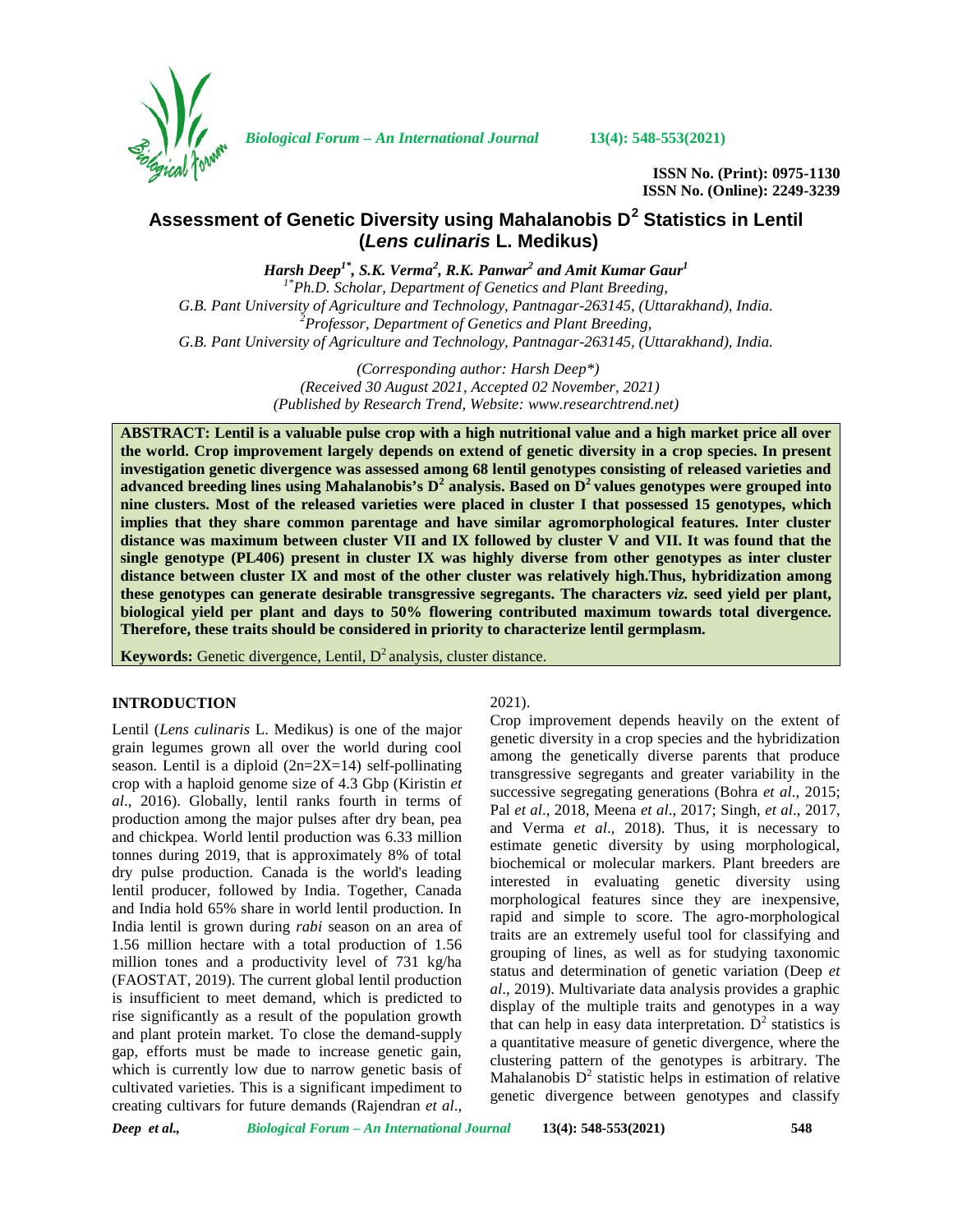

*Biological Forum – An International Journal* **13(4): 548-553(2021)**

**ISSN No. (Print): 0975-1130 ISSN No. (Online): 2249-3239**

# **Assessment of Genetic Diversity using Mahalanobis D<sup>2</sup> Statistics in Lentil (***Lens culinaris* **L. Medikus)**

*Harsh Deep1\*, S.K. Verma<sup>2</sup> , R.K. Panwar<sup>2</sup> and Amit Kumar Gaur<sup>1</sup>*

*1\*Ph.D. Scholar, Department of Genetics and Plant Breeding, G.B. Pant University of Agriculture and Technology, Pantnagar-263145, (Uttarakhand), India. <sup>2</sup>Professor, Department of Genetics and Plant Breeding, G.B. Pant University of Agriculture and Technology, Pantnagar-263145, (Uttarakhand), India.*

> *(Corresponding author: Harsh Deep\*) (Received 30 August 2021, Accepted 02 November, 2021) (Published by Research Trend, Website: [www.researchtrend.net\)](www.researchtrend.net)*

**ABSTRACT: Lentil is a valuable pulse crop with a high nutritional value and a high market price all over the world. Crop improvement largely depends on extend of genetic diversity in a crop species. In present investigation genetic divergence was assessed among 68 lentil genotypes consisting of released varieties and advanced breeding lines using Mahalanobis's D<sup>2</sup> analysis. Based on D<sup>2</sup> values genotypes were grouped into nine clusters. Most of the released varieties were placed in cluster I that possessed 15 genotypes, which implies that they share common parentage and have similar agromorphological features. Inter cluster distance was maximum between cluster VII and IX followed by cluster V and VII. It was found that the single genotype (PL406) present in cluster IX was highly diverse from other genotypes as inter cluster distance between cluster IX and most of the other cluster was relatively high.Thus, hybridization among these genotypes can generate desirable transgressive segregants. The characters** *viz.* **seed yield per plant, biological yield per plant and days to 50% flowering contributed maximum towards total divergence. Therefore, these traits should be considered in priority to characterize lentil germplasm.**

**Keywords:** Genetic divergence, Lentil,  $D^2$  analysis, cluster distance.

## **INTRODUCTION**

Lentil (*Lens culinaris* L. Medikus) is one of the major grain legumes grown all over the world during cool season. Lentil is a diploid  $(2n=2X=14)$  self-pollinating crop with a haploid genome size of 4.3 Gbp (Kiristin *et al*., 2016). Globally, lentil ranks fourth in terms of production among the major pulses after dry bean, pea and chickpea. World lentil production was 6.33 million tonnes during 2019, that is approximately 8% of total dry pulse production. Canada is the world's leading lentil producer, followed by India. Together, Canada and India hold 65% share in world lentil production. In India lentil is grown during *rabi* season on an area of 1.56 million hectare with a total production of 1.56 million tones and a productivity level of 731 kg/ha (FAOSTAT, 2019). The current global lentil production is insufficient to meet demand, which is predicted to rise significantly as a result of the population growth and plant protein market. To close the demand-supply gap, efforts must be made to increase genetic gain, which is currently low due to narrow genetic basis of cultivated varieties. This is a significant impediment to creating cultivars for future demands (Rajendran *et al*.,

### 2021).

Crop improvement depends heavily on the extent of genetic diversity in a crop species and the hybridization among the genetically diverse parents that produce transgressive segregants and greater variability in the successive segregating generations (Bohra *et al*., 2015; Pal *et al*., 2018, Meena *et al*., 2017; Singh, *et al*., 2017, and Verma *et al*., 2018). Thus, it is necessary to estimate genetic diversity by using morphological, biochemical or molecular markers. Plant breeders are interested in evaluating genetic diversity using morphological features since they are inexpensive, rapid and simple to score. The agro-morphological traits are an extremely useful tool for classifying and grouping of lines, as well as for studying taxonomic status and determination of genetic variation (Deep *et al*., 2019). Multivariate data analysis provides a graphic display of the multiple traits and genotypes in a way that can help in easy data interpretation.  $D<sup>2</sup>$  statistics is a quantitative measure of genetic divergence, where the clustering pattern of the genotypes is arbitrary. The Mahalanobis  $D<sup>2</sup>$  statistic helps in estimation of relative genetic divergence between genotypes and classify

*Deep et al., Biological Forum – An International Journal* **13(4): 548-553(2021) 548**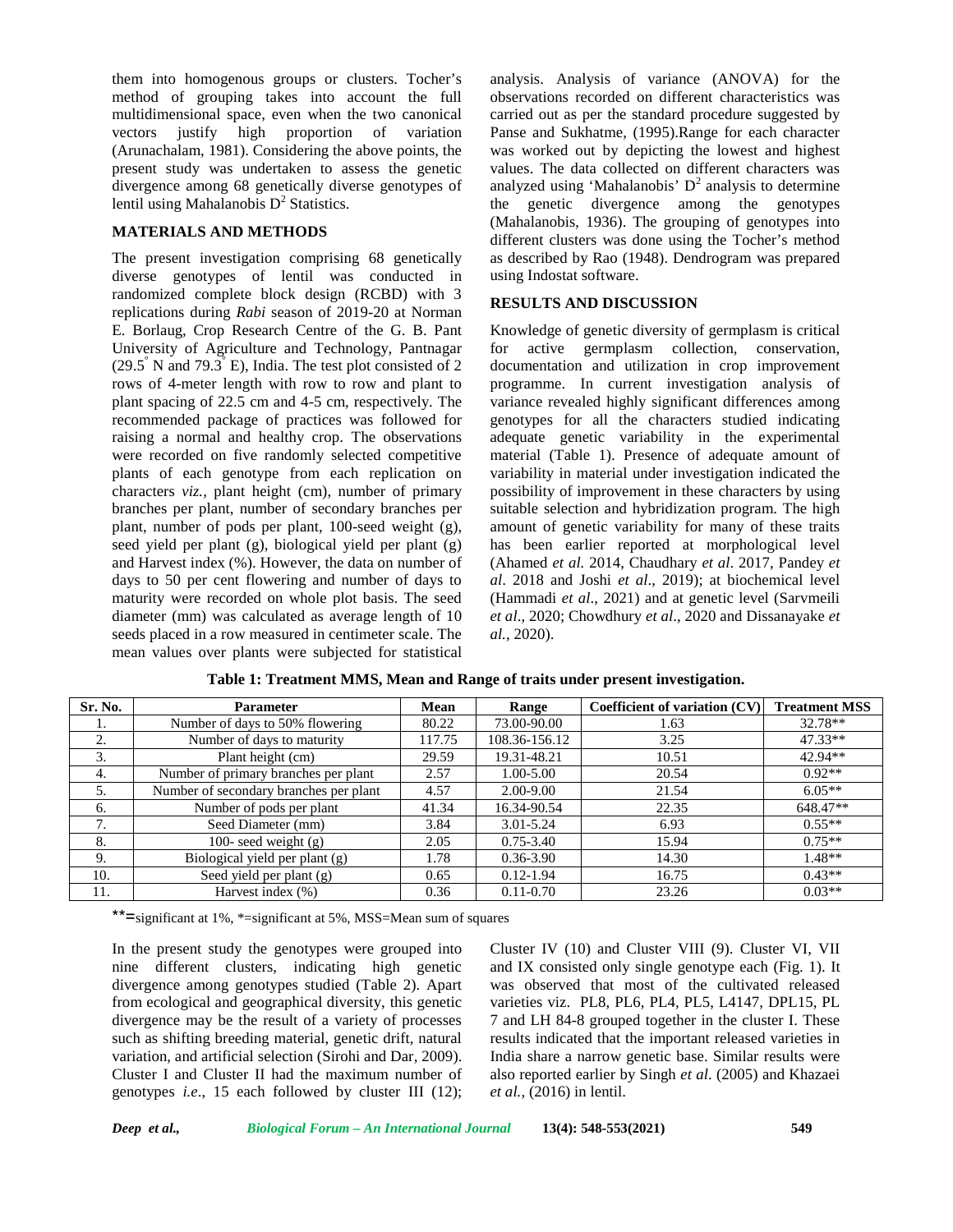them into homogenous groups or clusters. Tocher's method of grouping takes into account the full multidimensional space, even when the two canonical vectors justify high proportion of variation (Arunachalam, 1981). Considering the above points, the present study was undertaken to assess the genetic divergence among 68 genetically diverse genotypes of lentil using Mahalanobis  $D^2$  Statistics.

## **MATERIALS AND METHODS**

The present investigation comprising 68 genetically diverse genotypes of lentil was conducted in randomized complete block design (RCBD) with 3 replications during *Rabi* season of 2019-20 at Norman E. Borlaug, Crop Research Centre of the G. B. Pant University of Agriculture and Technology, Pantnagar  $(29.5^{\circ}$  N and  $79.3^{\circ}$  E), India. The test plot consisted of 2 rows of 4-meter length with row to row and plant to plant spacing of 22.5 cm and 4-5 cm, respectively. The recommended package of practices was followed for raising a normal and healthy crop. The observations were recorded on five randomly selected competitive plants of each genotype from each replication on characters *viz.,* plant height (cm), number of primary branches per plant, number of secondary branches per plant, number of pods per plant, 100-seed weight (g), seed yield per plant (g), biological yield per plant (g) and Harvest index (%). However, the data on number of days to 50 per cent flowering and number of days to maturity were recorded on whole plot basis. The seed diameter (mm) was calculated as average length of 10 seeds placed in a row measured in centimeter scale. The mean values over plants were subjected for statistical

analysis. Analysis of variance (ANOVA) for the observations recorded on different characteristics was carried out as per the standard procedure suggested by Panse and Sukhatme, (1995).Range for each character was worked out by depicting the lowest and highest values. The data collected on different characters was analyzed using 'Mahalanobis'  $D^2$  analysis to determine the genetic divergence among the genotypes (Mahalanobis, 1936). The grouping of genotypes into different clusters was done using the Tocher's method as described by Rao (1948). Dendrogram was prepared using Indostat software.

## **RESULTS AND DISCUSSION**

Knowledge of genetic diversity of germplasm is critical for active germplasm collection, conservation, documentation and utilization in crop improvement programme. In current investigation analysis of variance revealed highly significant differences among genotypes for all the characters studied indicating adequate genetic variability in the experimental material (Table 1). Presence of adequate amount of variability in material under investigation indicated the possibility of improvement in these characters by using suitable selection and hybridization program. The high amount of genetic variability for many of these traits has been earlier reported at morphological level (Ahamed *et al.* 2014, Chaudhary *et al*. 2017, Pandey *et al*. 2018 and Joshi *et al*., 2019); at biochemical level (Hammadi *et al*., 2021) and at genetic level (Sarvmeili *et al*., 2020; Chowdhury *et al*., 2020 and Dissanayake *et al.,* 2020).

| Sr. No. | <b>Parameter</b>                       | Mean   | Range         | Coefficient of variation (CV) | <b>Treatment MSS</b> |
|---------|----------------------------------------|--------|---------------|-------------------------------|----------------------|
| .,      | Number of days to 50% flowering        | 80.22  | 73.00-90.00   | 1.63                          | $32.78**$            |
| 2.      | Number of days to maturity             | 117.75 | 108.36-156.12 | 3.25                          | $47.33**$            |
| 3.      | Plant height (cm)                      | 29.59  | 19.31-48.21   | 10.51                         | 42.94**              |
| 4.      | Number of primary branches per plant   | 2.57   | $1.00 - 5.00$ | 20.54                         | $0.92**$             |
| 5.      | Number of secondary branches per plant | 4.57   | $2.00 - 9.00$ | 21.54                         | $6.05**$             |
| 6.      | Number of pods per plant               | 41.34  | 16.34-90.54   | 22.35                         | 648.47**             |
|         | Seed Diameter (mm)                     | 3.84   | $3.01 - 5.24$ | 6.93                          | $0.55**$             |
| 8.      | 100- seed weight $(g)$                 | 2.05   | $0.75 - 3.40$ | 15.94                         | $0.75**$             |
| 9.      | Biological yield per plant (g)         | 1.78   | $0.36 - 3.90$ | 14.30                         | $1.48**$             |
| 10.     | Seed yield per plant $(g)$             | 0.65   | $0.12 - 1.94$ | 16.75                         | $0.43**$             |
| 11.     | Harvest index (%)                      | 0.36   | $0.11 - 0.70$ | 23.26                         | $0.03**$             |

**Table 1: Treatment MMS, Mean and Range of traits under present investigation.**

\*\*=significant at 1%, \*=significant at 5%, MSS=Mean sum of squares

In the present study the genotypes were grouped into nine different clusters, indicating high genetic divergence among genotypes studied (Table 2). Apart from ecological and geographical diversity, this genetic divergence may be the result of a variety of processes such as shifting breeding material, genetic drift, natural variation, and artificial selection (Sirohi and Dar*,* 2009). Cluster I and Cluster II had the maximum number of genotypes *i.e*., 15 each followed by cluster III (12);

Cluster IV (10) and Cluster VIII (9). Cluster VI, VII and IX consisted only single genotype each (Fig. 1). It was observed that most of the cultivated released varieties viz. PL8, PL6, PL4, PL5, L4147, DPL15, PL 7 and LH 84-8 grouped together in the cluster I. These results indicated that the important released varieties in India share a narrow genetic base. Similar results were also reported earlier by Singh *et al*. (2005) and Khazaei *et al.,* (2016) in lentil.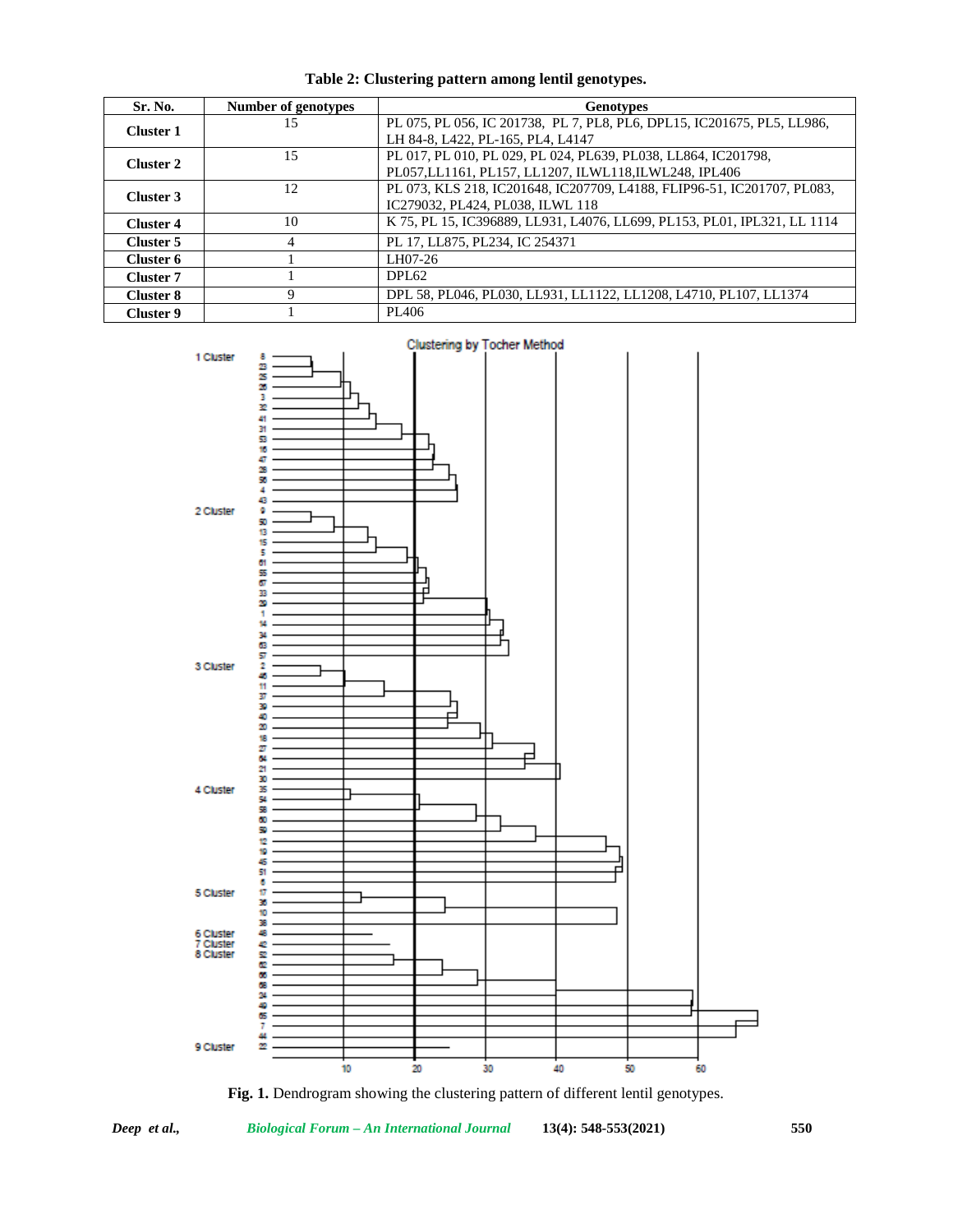| Sr. No.          | Number of genotypes | <b>Genotypes</b>                                                         |
|------------------|---------------------|--------------------------------------------------------------------------|
| Cluster 1        | 15                  | PL 075, PL 056, IC 201738, PL 7, PL8, PL6, DPL15, IC201675, PL5, LL986,  |
|                  |                     | LH 84-8, L422, PL-165, PL4, L4147                                        |
| <b>Cluster 2</b> | 15                  | PL 017, PL 010, PL 029, PL 024, PL639, PL038, LL864, IC201798,           |
|                  |                     | PL057, LL1161, PL157, LL1207, ILWL118, ILWL248, IPL406                   |
| Cluster 3        | 12                  | PL 073, KLS 218, IC201648, IC207709, L4188, FLIP96-51, IC201707, PL083,  |
|                  |                     | IC279032, PL424, PL038, ILWL 118                                         |
| <b>Cluster 4</b> | 10                  | K 75, PL 15, IC396889, LL931, L4076, LL699, PL153, PL01, IPL321, LL 1114 |
| Cluster 5        | 4                   | PL 17, LL875, PL234, IC 254371                                           |
| Cluster 6        |                     | LH07-26                                                                  |
| Cluster 7        |                     | DPL62                                                                    |
| <b>Cluster 8</b> | Q                   | DPL 58, PL046, PL030, LL931, LL1122, LL1208, L4710, PL107, LL1374        |
| <b>Cluster 9</b> |                     | PL <sub>406</sub>                                                        |

**Table 2: Clustering pattern among lentil genotypes.**



**Fig. 1.** Dendrogram showing the clustering pattern of different lentil genotypes.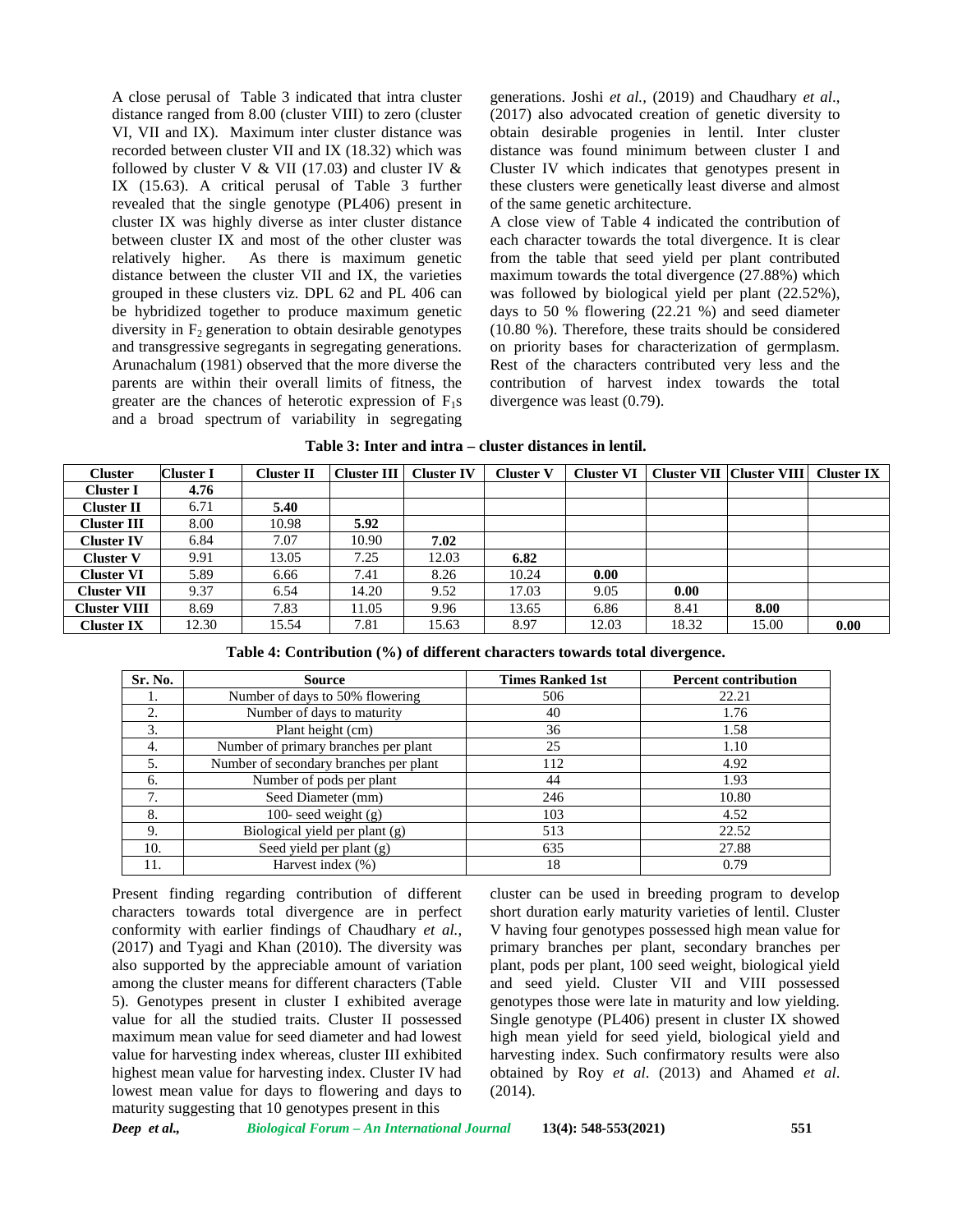A close perusal of Table 3 indicated that intra cluster distance ranged from 8.00 (cluster VIII) to zero (cluster VI, VII and IX). Maximum inter cluster distance was recorded between cluster VII and IX (18.32) which was followed by cluster V & VII (17.03) and cluster IV  $\&$ IX (15.63). A critical perusal of Table 3 further revealed that the single genotype (PL406) present in cluster IX was highly diverse as inter cluster distance between cluster IX and most of the other cluster was relatively higher. As there is maximum genetic distance between the cluster VII and IX, the varieties grouped in these clusters viz. DPL 62 and PL 406 can be hybridized together to produce maximum genetic diversity in  $F<sub>2</sub>$  generation to obtain desirable genotypes and transgressive segregants in segregating generations. Arunachalum (1981) observed that the more diverse the parents are within their overall limits of fitness, the greater are the chances of heterotic expression of  $F_1s$ and a broad spectrum of variability in segregating generations. Joshi *et al.,* (2019) and Chaudhary *et al*., (2017) also advocated creation of genetic diversity to obtain desirable progenies in lentil. Inter cluster distance was found minimum between cluster I and Cluster IV which indicates that genotypes present in these clusters were genetically least diverse and almost of the same genetic architecture.

A close view of Table 4 indicated the contribution of each character towards the total divergence. It is clear from the table that seed yield per plant contributed maximum towards the total divergence (27.88%) which was followed by biological yield per plant (22.52%), days to 50 % flowering (22.21 %) and seed diameter (10.80 %). Therefore, these traits should be considered on priority bases for characterization of germplasm. Rest of the characters contributed very less and the contribution of harvest index towards the total divergence was least (0.79).

| <b>Cluster</b>      | <b>Cluster I</b> | Cluster II | <b>Cluster III</b> | <b>Cluster IV</b> | <b>Cluster V</b> | Cluster VI |       | Cluster VII   Cluster VIII | <b>Cluster IX</b> |
|---------------------|------------------|------------|--------------------|-------------------|------------------|------------|-------|----------------------------|-------------------|
| Cluster I           | 4.76             |            |                    |                   |                  |            |       |                            |                   |
| Cluster II          | 6.71             | 5.40       |                    |                   |                  |            |       |                            |                   |
| Cluster III         | 8.00             | 10.98      | 5.92               |                   |                  |            |       |                            |                   |
| <b>Cluster IV</b>   | 6.84             | 7.07       | 10.90              | 7.02              |                  |            |       |                            |                   |
| <b>Cluster V</b>    | 9.91             | 13.05      | 7.25               | 12.03             | 6.82             |            |       |                            |                   |
| Cluster VI          | 5.89             | 6.66       | 7.41               | 8.26              | 10.24            | 0.00       |       |                            |                   |
| <b>Cluster VII</b>  | 9.37             | 6.54       | 14.20              | 9.52              | 17.03            | 9.05       | 0.00  |                            |                   |
| <b>Cluster VIII</b> | 8.69             | 7.83       | 11.05              | 9.96              | 13.65            | 6.86       | 8.41  | 8.00                       |                   |
| <b>Cluster IX</b>   | 12.30            | 15.54      | 7.81               | 15.63             | 8.97             | 12.03      | 18.32 | 15.00                      | 0.00              |

**Table 4: Contribution (%) of different characters towards total divergence.**

| Sr. No. | <b>Source</b>                          | <b>Times Ranked 1st</b> | <b>Percent contribution</b> |
|---------|----------------------------------------|-------------------------|-----------------------------|
|         | Number of days to 50% flowering        | 506                     | 22.21                       |
| 2.      | Number of days to maturity             | 40                      | 1.76                        |
| 3.      | Plant height (cm)                      | 36                      | 1.58                        |
| 4.      | Number of primary branches per plant   | 25                      | 1.10                        |
| 5.      | Number of secondary branches per plant | 112                     | 4.92                        |
| 6.      | Number of pods per plant               | 44                      | 1.93                        |
| 7.      | Seed Diameter (mm)                     | 246                     | 10.80                       |
| 8.      | 100- seed weight $(g)$                 | 103                     | 4.52                        |
| 9.      | Biological yield per plant (g)         | 513                     | 22.52                       |
| 10.     | Seed yield per plant (g)               | 635                     | 27.88                       |
| 11.     | Harvest index (%)                      | 18                      | 0.79                        |

Present finding regarding contribution of different characters towards total divergence are in perfect conformity with earlier findings of Chaudhary *et al.,* (2017) and Tyagi and Khan (2010). The diversity was also supported by the appreciable amount of variation among the cluster means for different characters (Table 5). Genotypes present in cluster I exhibited average value for all the studied traits. Cluster II possessed maximum mean value for seed diameter and had lowest value for harvesting index whereas, cluster III exhibited highest mean value for harvesting index. Cluster IV had lowest mean value for days to flowering and days to maturity suggesting that 10 genotypes present in this

cluster can be used in breeding program to develop short duration early maturity varieties of lentil. Cluster V having four genotypes possessed high mean value for primary branches per plant, secondary branches per plant, pods per plant, 100 seed weight, biological yield and seed yield. Cluster VII and VIII possessed genotypes those were late in maturity and low yielding. Single genotype (PL406) present in cluster IX showed high mean yield for seed yield, biological yield and harvesting index. Such confirmatory results were also obtained by Roy *et al*. (2013) and Ahamed *et al*. (2014).

*Deep et al., Biological Forum – An International Journal* **13(4): 548-553(2021) 551**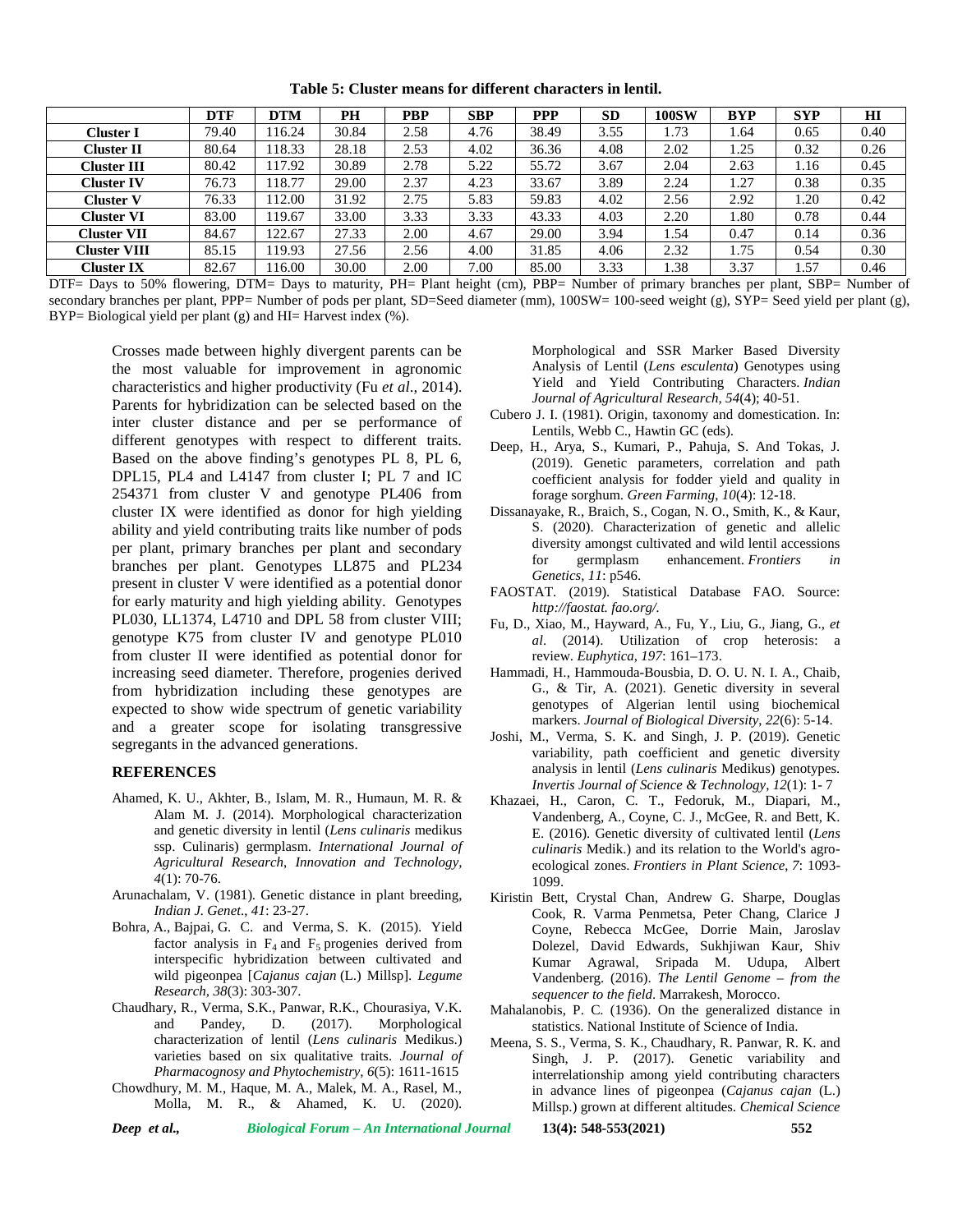|                     | <b>DTF</b> | <b>DTM</b> | PН    | <b>PBP</b> | <b>SBP</b> | <b>PPP</b> | SD.  | 100SW | <b>BYP</b> | <b>SYP</b> | HI   |
|---------------------|------------|------------|-------|------------|------------|------------|------|-------|------------|------------|------|
| Cluster I           | 79.40      | 16.24      | 30.84 | 2.58       | 4.76       | 38.49      | 3.55 | 1.73  | 1.64       | 0.65       | 0.40 |
| <b>Cluster II</b>   | 80.64      | 118.33     | 28.18 | 2.53       | 4.02       | 36.36      | 4.08 | 2.02  | . 25       | 0.32       | 0.26 |
| <b>Cluster III</b>  | 80.42      | 17.92      | 30.89 | 2.78       | 5.22       | 55.72      | 3.67 | 2.04  | 2.63       | 1.16       | 0.45 |
| Cluster IV          | 76.73      | 18.77      | 29.00 | 2.37       | 4.23       | 33.67      | 3.89 | 2.24  | 1.27       | 0.38       | 0.35 |
| Cluster V           | 76.33      | 12.00      | 31.92 | 2.75       | 5.83       | 59.83      | 4.02 | 2.56  | 2.92       | 1.20       | 0.42 |
| Cluster VI          | 83.00      | 119.67     | 33.00 | 3.33       | 3.33       | 43.33      | 4.03 | 2.20  | 1.80       | 0.78       | 0.44 |
| <b>Cluster VII</b>  | 84.67      | 122.67     | 27.33 | 2.00       | 4.67       | 29.00      | 3.94 | 1.54  | 0.47       | 0.14       | 0.36 |
| <b>Cluster VIII</b> | 85.15      | 19.93      | 27.56 | 2.56       | 4.00       | 31.85      | 4.06 | 2.32  | 1.75       | 0.54       | 0.30 |
| Cluster IX          | 82.67      | 16.00      | 30.00 | 2.00       | 7.00       | 85.00      | 3.33 | .38   | 3.37       | .57        | 0.46 |

**Table 5: Cluster means for different characters in lentil.**

DTF= Days to 50% flowering, DTM= Days to maturity, PH= Plant height (cm), PBP= Number of primary branches per plant, SBP= Number of secondary branches per plant, PPP= Number of pods per plant, SD=Seed diameter (mm), 100SW= 100-seed weight (g), SYP= Seed yield per plant (g), BYP= Biological yield per plant (g) and HI= Harvest index (%).

Crosses made between highly divergent parents can be the most valuable for improvement in agronomic characteristics and higher productivity (Fu *et al*., 2014). Parents for hybridization can be selected based on the inter cluster distance and per se performance of different genotypes with respect to different traits. Based on the above finding's genotypes PL 8, PL 6, DPL15, PL4 and L4147 from cluster I; PL 7 and IC 254371 from cluster V and genotype PL406 from cluster IX were identified as donor for high yielding ability and yield contributing traits like number of pods per plant, primary branches per plant and secondary branches per plant. Genotypes LL875 and PL234 present in cluster V were identified as a potential donor for early maturity and high yielding ability. Genotypes PL030, LL1374, L4710 and DPL 58 from cluster VIII; genotype K75 from cluster IV and genotype PL010 from cluster II were identified as potential donor for increasing seed diameter. Therefore, progenies derived from hybridization including these genotypes are expected to show wide spectrum of genetic variability and a greater scope for isolating transgressive segregants in the advanced generations.

#### **REFERENCES**

- Ahamed, K. U., Akhter, B., Islam, M. R., Humaun, M. R. & Alam M. J. (2014). Morphological characterization and genetic diversity in lentil (*Lens culinaris* medikus ssp. Culinaris) germplasm. *International Journal of Agricultural Research*, *Innovation and Technology, 4*(1): 70-76.
- Arunachalam, V. (1981). Genetic distance in plant breeding, *Indian J. Genet*., *41*: 23-27.
- Bohra, A., Bajpai, G. C. and Verma, S. K. (2015). Yield factor analysis in  $F_4$  and  $F_5$  progenies derived from interspecific hybridization between cultivated and wild pigeonpea [*Cajanus cajan* (L.) Millsp]. *Legume Research*, *38*(3): 303-307.
- Chaudhary, R., Verma, S.K., Panwar, R.K., Chourasiya, V.K. and Pandey, D. (2017). Morphological characterization of lentil (*Lens culinaris* Medikus.) varieties based on six qualitative traits. *Journal of Pharmacognosy and Phytochemistry, 6*(5): 1611-1615
- Chowdhury, M. M., Haque, M. A., Malek, M. A., Rasel, M., Molla, M. R., & Ahamed, K. U. (2020).

Morphological and SSR Marker Based Diversity Analysis of Lentil (*Lens esculenta*) Genotypes using Yield and Yield Contributing Characters. *Indian Journal of Agricultural Research, 54*(4); 40-51.

- Cubero J. I. (1981). Origin, taxonomy and domestication. In: Lentils, Webb C., Hawtin GC (eds).
- Deep, H., Arya, S., Kumari, P., Pahuja, S. And Tokas, J. (2019). Genetic parameters, correlation and path coefficient analysis for fodder yield and quality in forage sorghum. *Green Farming*, *10*(4): 12-18.
- Dissanayake, R., Braich, S., Cogan, N. O., Smith, K., & Kaur, S. (2020). Characterization of genetic and allelic diversity amongst cultivated and wild lentil accessions for germplasm enhancement. *Frontiers in Genetics*, *11*: p546.
- FAOSTAT. (2019). Statistical Database FAO. Source: *http://faostat. fao.org/.*
- Fu, D., Xiao, M., Hayward, A., Fu, Y., Liu, G., Jiang, G., *et al*. (2014). Utilization of crop heterosis: a review. *Euphytica*, *197*: 161–173.
- Hammadi, H., Hammouda-Bousbia, D. O. U. N. I. A., Chaib, G., & Tir, A. (2021). Genetic diversity in several genotypes of Algerian lentil using biochemical markers. *Journal of Biological Diversity*, *22*(6): 5-14.
- Joshi, M., Verma, S. K. and Singh, J. P. (2019). Genetic variability, path coefficient and genetic diversity analysis in lentil (*Lens culinaris* Medikus) genotypes. *Invertis Journal of Science & Technology*, *12*(1): 1- 7
- Khazaei, H., Caron, C. T., Fedoruk, M., Diapari, M., Vandenberg, A., Coyne, C. J., McGee, R. and Bett, K. E. (2016). Genetic diversity of cultivated lentil (*Lens culinaris* Medik.) and its relation to the World's agro ecological zones. *Frontiers in Plant Science*, *7*: 1093- 1099.
- Kiristin Bett, Crystal Chan, Andrew G. Sharpe, Douglas Cook, R. Varma Penmetsa, Peter Chang, Clarice J Coyne, Rebecca McGee, Dorrie Main, Jaroslav Dolezel, David Edwards, Sukhjiwan Kaur, Shiv Kumar Agrawal, Sripada M. Udupa, Albert Vandenberg. (2016). *The Lentil Genome – from the sequencer to the field*. Marrakesh, Morocco.
- Mahalanobis, P. C. (1936). On the generalized distance in statistics. National Institute of Science of India.
- Meena, S. S., Verma, S. K., Chaudhary, R. Panwar, R. K. and Singh, J. P. (2017). Genetic variability and interrelationship among yield contributing characters in advance lines of pigeonpea (*Cajanus cajan* (L.) Millsp.) grown at different altitudes. *Chemical Science*